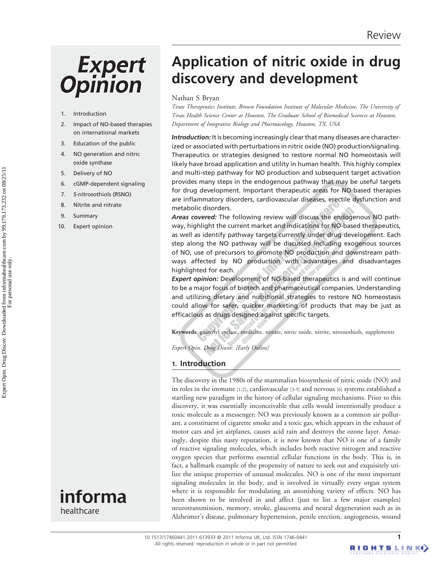# **Expert Opinion**

- 1. Introduction
- 2. Impact of NO-based therapies on international markets
- 3. Education of the public
- 4. NO generation and nitric oxide synthase
- 5. Delivery of NO
- 6. cGMP-dependent signaling
- 7. S-nitrosothiols (RSNO)
- 8. Nitrite and nitrate
- 9. Summary
- 10. Expert opinion



Application of nitric oxide in drug discovery and development

# Nathan S Bryan

Texas Therapeutics Institute, Brown Foundation Institute of Molecular Medicine, The University of Texas Health Science Center at Houston, The Graduate School of Biomedical Sciences at Houston, Department of Integrative Biology and Pharmacology, Houston, TX, USA

Introduction: It is becoming increasingly clear that many diseases are characterized or associated with perturbations in nitric oxide (NO) production/signaling. Therapeutics or strategies designed to restore normal NO homeostasis will likely have broad application and utility in human health. This highly complex and multi-step pathway for NO production and subsequent target activation provides many steps in the endogenous pathway that may be useful targets for drug development. Important therapeutic areas for NO-based therapies are inflammatory disorders, cardiovascular diseases, erectile dysfunction and metabolic disorders.

Areas covered: The following review will discuss the endogenous NO pathway, highlight the current market and indications for NO-based therapeutics, as well as identify pathway targets currently under drug development. Each step along the NO pathway will be discussed including exogenous sources of NO, use of precursors to promote NO production and downstream pathways affected by NO production with advantages and disadvantages highlighted for each.

Expert opinion: Development of NO-based therapeutics is and will continue to be a major focus of biotech and pharmaceutical companies. Understanding and utilizing dietary and nutritional strategies to restore NO homeostasis could allow for safer, quicker marketing of products that may be just as efficacious as drugs designed against specific targets.

Keywords: guanylyl cyclase, medicine, nitrate, nitric oxide, nitrite, nitrosothiols, supplements

Expert Opin. Drug Discov. [Early Online]

# 1. Introduction

The discovery in the 1980s of the mammalian biosynthesis of nitric oxide (NO) and its roles in the immune [1,2], cardiovascular [3-5] and nervous [6] systems established a startling new paradigm in the history of cellular signaling mechanisms. Prior to this discovery, it was essentially inconceivable that cells would intentionally produce a toxic molecule as a messenger; NO was previously known as a common air pollutant, a constituent of cigarette smoke and a toxic gas, which appears in the exhaust of motor cars and jet airplanes, causes acid rain and destroys the ozone layer. Amazingly, despite this nasty reputation, it is now known that NO is one of a family of reactive signaling molecules, which includes both reactive nitrogen and reactive oxygen species that performs essential cellular functions in the body. This is, in fact, a hallmark example of the propensity of nature to seek out and exquisitely utilize the unique properties of unusual molecules. NO is one of the most important signaling molecules in the body, and is involved in virtually every organ system where it is responsible for modulating an astonishing variety of effects. NO has been shown to be involved in and affect (just to list a few major examples) neurotransmission, memory, stroke, glaucoma and neural degeneration such as in Alzheimer's disease, pulmonary hypertension, penile erection, angiogenesis, wound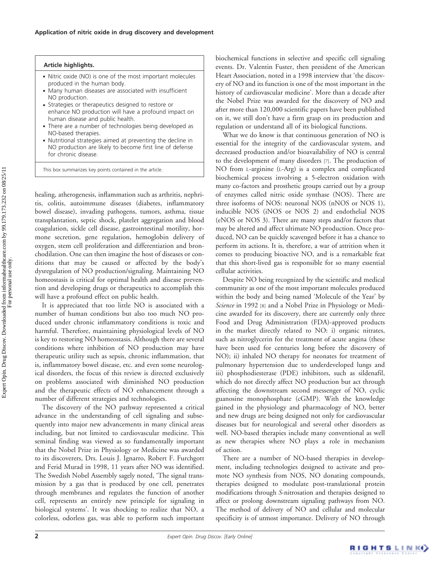#### Article highlights.

- . Nitric oxide (NO) is one of the most important molecules produced in the human body.
- . Many human diseases are associated with insufficient NO production.
- . Strategies or therapeutics designed to restore or enhance NO production will have a profound impact on human disease and public health.
- . There are a number of technologies being developed as NO-based therapies.
- . Nutritional strategies aimed at preventing the decline in NO production are likely to become first line of defense for chronic disease

This box summarizes key points contained in the article.

Expert Opin. Drug Discov. Downloaded from informahealthcare.com by 99.179.173.232 on 08/25/11 Expert Opin. Drug Discov. Downloaded from informahealthcare.com by 99.179.173.232 on 08/25/11 For personal use only.

healing, atherogenesis, inflammation such as arthritis, nephritis, colitis, autoimmune diseases (diabetes, inflammatory bowel disease), invading pathogens, tumors, asthma, tissue transplantation, septic shock, platelet aggregation and blood coagulation, sickle cell disease, gastrointestinal motility, hormone secretion, gene regulation, hemoglobin delivery of oxygen, stem cell proliferation and differentiation and bronchodilation. One can then imagine the host of diseases or conditions that may be caused or affected by the body's dysregulation of NO production/signaling. Maintaining NO homeostasis is critical for optimal health and disease prevention and developing drugs or therapeutics to accomplish this will have a profound effect on public health.

It is appreciated that too little NO is associated with a number of human conditions but also too much NO produced under chronic inflammatory conditions is toxic and harmful. Therefore, maintaining physiological levels of NO is key to restoring NO homeostasis. Although there are several conditions where inhibition of NO production may have therapeutic utility such as sepsis, chronic inflammation, that is, inflammatory bowel disease, etc. and even some neurological disorders, the focus of this review is directed exclusively on problems associated with diminished NO production and the therapeutic effects of NO enhancement through a number of different strategies and technologies.

The discovery of the NO pathway represented a critical advance in the understanding of cell signaling and subsequently into major new advancements in many clinical areas including, but not limited to cardiovascular medicine. This seminal finding was viewed as so fundamentally important that the Nobel Prize in Physiology or Medicine was awarded to its discoverers, Drs. Louis J. Ignarro, Robert F. Furchgott and Ferid Murad in 1998, 11 years after NO was identified. The Swedish Nobel Assembly sagely noted, 'The signal transmission by a gas that is produced by one cell, penetrates through membranes and regulates the function of another cell, represents an entirely new principle for signaling in biological systems'. It was shocking to realize that NO, a colorless, odorless gas, was able to perform such important biochemical functions in selective and specific cell signaling events. Dr. Valentin Fuster, then president of the American Heart Association, noted in a 1998 interview that 'the discovery of NO and its function is one of the most important in the history of cardiovascular medicine'. More than a decade after the Nobel Prize was awarded for the discovery of NO and after more than 120,000 scientific papers have been published on it, we still don't have a firm grasp on its production and regulation or understand all of its biological functions.

What we do know is that continuous generation of NO is essential for the integrity of the cardiovascular system, and decreased production and/or bioavailability of NO is central to the development of many disorders [7]. The production of NO from L-arginine (L-Arg) is a complex and complicated biochemical process involving a 5-electron oxidation with many co-factors and prosthetic groups carried out by a group of enzymes called nitric oxide synthase (NOS). There are three isoforms of NOS: neuronal NOS (nNOS or NOS 1), inducible NOS (iNOS or NOS 2) and endothelial NOS (eNOS or NOS 3). There are many steps and/or factors that may be altered and affect ultimate NO production. Once produced, NO can be quickly scavenged before it has a chance to perform its actions. It is, therefore, a war of attrition when it comes to producing bioactive NO, and is a remarkable feat that this short-lived gas is responsible for so many essential cellular activities.

Despite NO being recognized by the scientific and medical community as one of the most important molecules produced within the body and being named 'Molecule of the Year' by Science in 1992 [8] and a Nobel Prize in Physiology or Medicine awarded for its discovery, there are currently only three Food and Drug Administration (FDA)-approved products in the market directly related to NO: i) organic nitrates, such as nitroglycerin for the treatment of acute angina (these have been used for centuries long before the discovery of NO); ii) inhaled NO therapy for neonates for treatment of pulmonary hypertension due to underdeveloped lungs and iii) phosphodiesterase (PDE) inhibitors, such as sildenafil, which do not directly affect NO production but act through affecting the downstream second messenger of NO, cyclic guanosine monophosphate (cGMP). With the knowledge gained in the physiology and pharmacology of NO, better and new drugs are being designed not only for cardiovascular diseases but for neurological and several other disorders as well. NO-based therapies include many conventional as well as new therapies where NO plays a role in mechanism of action.

There are a number of NO-based therapies in development, including technologies designed to activate and promote NO synthesis from NOS, NO donating compounds, therapies designed to modulate post-translational protein modifications through S-nitrosation and therapies designed to affect or prolong downstream signaling pathways from NO. The method of delivery of NO and cellular and molecular specificity is of utmost importance. Delivery of NO through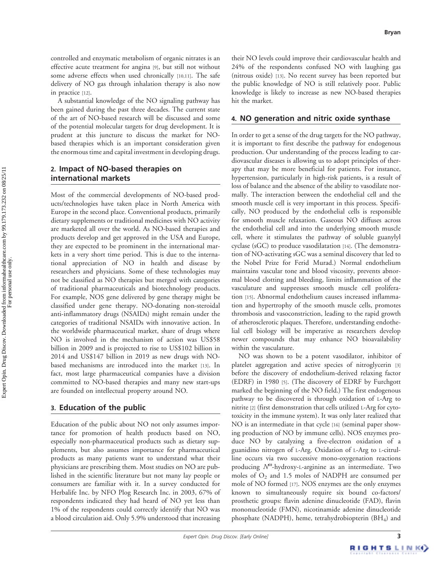controlled and enzymatic metabolism of organic nitrates is an effective acute treatment for angina [9], but still not without some adverse effects when used chronically [10,11]. The safe delivery of NO gas through inhalation therapy is also now in practice [12].

A substantial knowledge of the NO signaling pathway has been gained during the past three decades. The current state of the art of NO-based research will be discussed and some of the potential molecular targets for drug development. It is prudent at this juncture to discuss the market for NObased therapies which is an important consideration given the enormous time and capital investment in developing drugs.

# 2. Impact of NO-based therapies on international markets

Most of the commercial developments of NO-based products/technologies have taken place in North America with Europe in the second place. Conventional products, primarily dietary supplements or traditional medicines with NO activity are marketed all over the world. As NO-based therapies and products develop and get approved in the USA and Europe, they are expected to be prominent in the international markets in a very short time period. This is due to the international appreciation of NO in health and disease by researchers and physicians. Some of these technologies may not be classified as NO therapies but merged with categories of traditional pharmaceuticals and biotechnology products. For example, NOS gene delivered by gene therapy might be classified under gene therapy. NO-donating non-steroidal anti-inflammatory drugs (NSAIDs) might remain under the categories of traditional NSAIDs with innovative action. In the worldwide pharmaceutical market, share of drugs where NO is involved in the mechanism of action was US\$58 billion in 2009 and is projected to rise to US\$102 billion in 2014 and US\$147 billion in 2019 as new drugs with NObased mechanisms are introduced into the market [13]. In fact, most large pharmaceutical companies have a division committed to NO-based therapies and many new start-ups are founded on intellectual property around NO.

# 3. Education of the public

Education of the public about NO not only assumes importance for promotion of health products based on NO, especially non-pharmaceutical products such as dietary supplements, but also assumes importance for pharmaceutical products as many patients want to understand what their physicians are prescribing them. Most studies on NO are published in the scientific literature but not many lay people or consumers are familiar with it. In a survey conducted for Herbalife Inc. by NFO Plog Research Inc. in 2003, 67% of respondents indicated they had heard of NO yet less than 1% of the respondents could correctly identify that NO was a blood circulation aid. Only 5.9% understood that increasing their NO levels could improve their cardiovascular health and 24% of the respondents confused NO with laughing gas (nitrous oxide) [13]. No recent survey has been reported but the public knowledge of NO is still relatively poor. Public knowledge is likely to increase as new NO-based therapies hit the market.

# 4. NO generation and nitric oxide synthase

In order to get a sense of the drug targets for the NO pathway, it is important to first describe the pathway for endogenous production. Our understanding of the process leading to cardiovascular diseases is allowing us to adopt principles of therapy that may be more beneficial for patients. For instance, hypertension, particularly in high-risk patients, is a result of loss of balance and the absence of the ability to vasodilate normally. The interaction between the endothelial cell and the smooth muscle cell is very important in this process. Specifically, NO produced by the endothelial cells is responsible for smooth muscle relaxation. Gaseous NO diffuses across the endothelial cell and into the underlying smooth muscle cell, where it stimulates the pathway of soluble guanylyl cyclase (sGC) to produce vasodilatation [14]. (The demonstration of NO-activating sGC was a seminal discovery that led to the Nobel Prize for Ferid Murad.) Normal endothelium maintains vascular tone and blood viscosity, prevents abnormal blood clotting and bleeding, limits inflammation of the vasculature and suppresses smooth muscle cell proliferation [15]. Abnormal endothelium causes increased inflammation and hypertrophy of the smooth muscle cells, promotes thrombosis and vasoconstriction, leading to the rapid growth of atherosclerotic plaques. Therefore, understanding endothelial cell biology will be imperative as researchers develop newer compounds that may enhance NO bioavailability within the vasculature.

NO was shown to be a potent vasodilator, inhibitor of platelet aggregation and active species of nitroglycerin [3] before the discovery of endothelium-derived relaxing factor (EDRF) in 1980 [5]. (The discovery of EDRF by Furchgott marked the beginning of the NO field.) The first endogenous pathway to be discovered is through oxidation of L-Arg to nitrite [2] (first demonstration that cells utilized L-Arg for cytotoxicity in the immune system). It was only later realized that NO is an intermediate in that cycle [16] (seminal paper showing production of NO by immune cells). NOS enzymes produce NO by catalyzing a five-electron oxidation of a guanidino nitrogen of L-Arg. Oxidation of L-Arg to L-citrulline occurs via two successive mono-oxygenation reactions producing  $N^{\omega}$ -hydroxy-L-arginine as an intermediate. Two moles of  $O_2$  and 1.5 moles of NADPH are consumed per mole of NO formed [17]. NOS enzymes are the only enzymes known to simultaneously require six bound co-factors/ prosthetic groups: flavin adenine dinucleotide (FAD), flavin mononucleotide (FMN), nicotinamide adenine dinucleotide phosphate (NADPH), heme, tetrahydrobiopterin  $(BH<sub>4</sub>)$  and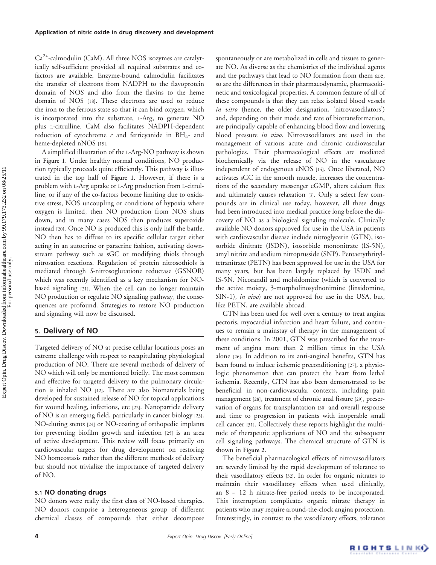$Ca<sup>2+</sup>$ -calmodulin (CaM). All three NOS isozymes are catalytically self-sufficient provided all required substrates and cofactors are available. Enzyme-bound calmodulin facilitates the transfer of electrons from NADPH to the flavoprotein domain of NOS and also from the flavins to the heme domain of NOS [18]. These electrons are used to reduce the iron to the ferrous state so that it can bind oxygen, which is incorporated into the substrate, L-Arg, to generate NO plus L-citrulline. CaM also facilitates NADPH-dependent reduction of cytochrome c and ferricyanide in  $BH<sub>4</sub>$ - and heme-depleted nNOS [19].

A simplified illustration of the L-Arg-NO pathway is shown in Figure 1. Under healthy normal conditions, NO production typically proceeds quite efficiently. This pathway is illustrated in the top half of Figure 1. However, if there is a problem with L-Arg uptake or L-Arg production from L-citrulline, or if any of the co-factors become limiting due to oxidative stress, NOS uncoupling or conditions of hypoxia where oxygen is limited, then NO production from NOS shuts down, and in many cases NOS then produces superoxide instead [20]. Once NO is produced this is only half the battle. NO then has to diffuse to its specific cellular target either acting in an autocrine or paracrine fashion, activating downstream pathway such as sGC or modifying thiols through nitrosation reactions. Regulation of protein nitrosothiols is mediated through S-nitrosoglutatione reductase (GSNOR) which was recently identified as a key mechanism for NObased signaling [21]. When the cell can no longer maintain NO production or regulate NO signaling pathway, the consequences are profound. Strategies to restore NO production and signaling will now be discussed.

# 5. Delivery of NO

Targeted delivery of NO at precise cellular locations poses an extreme challenge with respect to recapitulating physiological production of NO. There are several methods of delivery of NO which will only be mentioned briefly. The most common and effective for targeted delivery to the pulmonary circulation is inhaled NO [12]. There are also biomaterials being developed for sustained release of NO for topical applications for wound healing, infections, etc [22]. Nanoparticle delivery of NO is an emerging field, particularly in cancer biology [23]. NO-eluting stents [24] or NO-coating of orthopedic implants for preventing biofilm growth and infection [25] is an area of active development. This review will focus primarily on cardiovascular targets for drug development on restoring NO homeostasis rather than the different methods of delivery but should not trivialize the importance of targeted delivery of NO.

# 5.1 NO donating drugs

NO donors were really the first class of NO-based therapies. NO donors comprise a heterogeneous group of different chemical classes of compounds that either decompose spontaneously or are metabolized in cells and tissues to generate NO. As diverse as the chemistries of the individual agents and the pathways that lead to NO formation from them are, so are the differences in their pharmacodynamic, pharmacokinetic and toxicological properties. A common feature of all of these compounds is that they can relax isolated blood vessels in vitro (hence, the older designation, 'nitrovasodilators') and, depending on their mode and rate of biotransformation, are principally capable of enhancing blood flow and lowering blood pressure in vivo. Nitrovasodilators are used in the management of various acute and chronic cardiovascular pathologies. Their pharmacological effects are mediated biochemically via the release of NO in the vasculature independent of endogenous eNOS [14]. Once liberated, NO activates sGC in the smooth muscle, increases the concentrations of the secondary messenger cGMP, alters calcium flux and ultimately causes relaxation [3]. Only a select few compounds are in clinical use today, however, all these drugs had been introduced into medical practice long before the discovery of NO as a biological signaling molecule. Clinically available NO donors approved for use in the USA in patients with cardiovascular disease include nitroglycerin (GTN), isosorbide dinitrate (ISDN), isosorbide mononitrate (IS-5N), amyl nitrite and sodium nitroprusside (SNP). Pentaerythrityltetranitrate (PETN) has been approved for use in the USA for many years, but has been largely replaced by ISDN and IS-5N. Nicorandil and molsidomine (which is converted to the active moiety, 3-morpholinosydnonimine (linsidomine, SIN-1), in vivo) are not approved for use in the USA, but, like PETN, are available abroad.

GTN has been used for well over a century to treat angina pectoris, myocardial infarction and heart failure, and continues to remain a mainstay of therapy in the management of these conditions. In 2001, GTN was prescribed for the treatment of angina more than 2 million times in the USA alone [26]. In addition to its anti-anginal benefits, GTN has been found to induce ischemic preconditioning [27], a physiologic phenomenon that can protect the heart from lethal ischemia. Recently, GTN has also been demonstrated to be beneficial in non-cardiovascular contexts, including pain management [28], treatment of chronic anal fissure [29], preservation of organs for transplantation [30] and overall response and time to progression in patients with inoperable small cell cancer [31]. Collectively these reports highlight the multitude of therapeutic applications of NO and the subsequent cell signaling pathways. The chemical structure of GTN is shown in Figure 2.

The beneficial pharmacological effects of nitrovasodilators are severely limited by the rapid development of tolerance to their vasodilatory effects [32]. In order for organic nitrates to maintain their vasodilatory effects when used clinically, an 8 - 12 h nitrate-free period needs to be incorporated. This interruption complicates organic nitrate therapy in patients who may require around-the-clock angina protection. Interestingly, in contrast to the vasodilatory effects, tolerance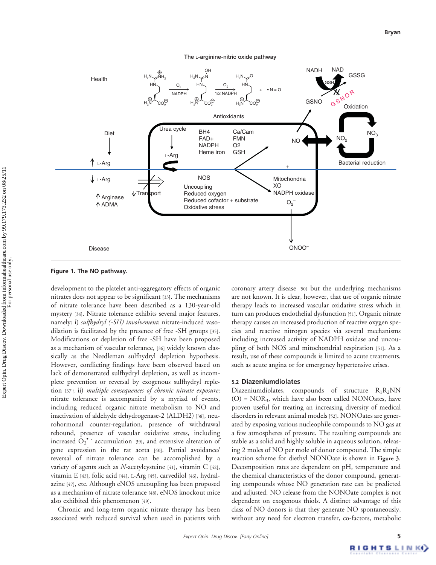#### The L-arginine-nitric oxide pathway



Figure 1. The NO pathway.

development to the platelet anti-aggregatory effects of organic nitrates does not appear to be significant [33]. The mechanisms of nitrate tolerance have been described as a 130-year-old mystery [34]. Nitrate tolerance exhibits several major features, namely: i) sulfhydryl (-SH) involvement: nitrate-induced vasodilation is facilitated by the presence of free -SH groups [35]. Modifications or depletion of free -SH have been proposed as a mechanism of vascular tolerance, [36] widely known classically as the Needleman sulfhydryl depletion hypothesis. However, conflicting findings have been observed based on lack of demonstrated sulfhydryl depletion, as well as incomplete prevention or reversal by exogenous sulfhydryl repletion [37]; ii) multiple consequences of chronic nitrate exposure: nitrate tolerance is accompanied by a myriad of events, including reduced organic nitrate metabolism to NO and inactivation of aldehyde dehydrogenase-2 (ALDH2) [38], neurohormonal counter-regulation, presence of withdrawal rebound, presence of vascular oxidative stress, including increased  $O_2$ <sup>+</sup> accumulation [39], and extensive alteration of gene expression in the rat aorta [40]. Partial avoidance/ reversal of nitrate tolerance can be accomplished by a variety of agents such as N-acetylcysteine [41], vitamin C [42], vitamin E [43], folic acid [44], L-Arg [45], carvedilol [46], hydralazine [47], etc. Although eNOS uncoupling has been proposed as a mechanism of nitrate tolerance [48], eNOS knockout mice also exhibited this phenomenon [49].

Chronic and long-term organic nitrate therapy has been associated with reduced survival when used in patients with coronary artery disease [50] but the underlying mechanisms are not known. It is clear, however, that use of organic nitrate therapy leads to increased vascular oxidative stress which in turn can produces endothelial dysfunction [51]. Organic nitrate therapy causes an increased production of reactive oxygen species and reactive nitrogen species via several mechanisms including increased activity of NADPH oxidase and uncoupling of both NOS and mitochondrial respiration [51]. As a result, use of these compounds is limited to acute treatments, such as acute angina or for emergency hypertensive crises.

### 5.2 Diazeniumdiolates

Diazeniumdiolates, compounds of structure  $R_1R_2NN$  $(O)$  = NOR<sub>3</sub>, which have also been called NONOates, have proven useful for treating an increasing diversity of medical disorders in relevant animal models [52]. NONOates are generated by exposing various nucleophile compounds to NO gas at a few atmospheres of pressure. The resulting compounds are stable as a solid and highly soluble in aqueous solution, releasing 2 moles of NO per mole of donor compound. The simple reaction scheme for diethyl NONOate is shown in Figure 3. Decomposition rates are dependent on pH, temperature and the chemical characteristics of the donor compound, generating compounds whose NO generation rate can be predicted and adjusted. NO release from the NONOate complex is not dependent on exogenous thiols. A distinct advantage of this class of NO donors is that they generate NO spontaneously, without any need for electron transfer, co-factors, metabolic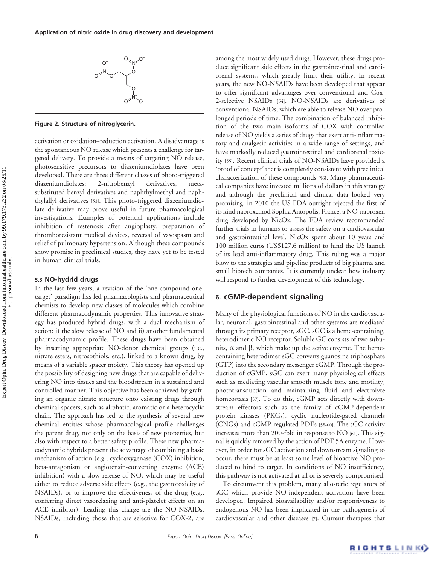

Figure 2. Structure of nitroglycerin.

activation or oxidation--reduction activation. A disadvantage is the spontaneous NO release which presents a challenge for targeted delivery. To provide a means of targeting NO release, photosensitive precursors to diazeniumdiolates have been developed. There are three different classes of photo-triggered diazeniumdiolates: 2-nitrobenzyl derivatives, metasubstituted benzyl derivatives and naphthylmethyl and naphthylallyl derivatives [53]. This photo-triggered diazeniumdiolate derivative may prove useful in future pharmacological investigations. Examples of potential applications include inhibition of restenosis after angioplasty, preparation of thromboresistant medical devices, reversal of vasospasm and relief of pulmonary hypertension. Although these compounds show promise in preclinical studies, they have yet to be tested in human clinical trials.

### 5.3 NO-hydrid drugs

In the last few years, a revision of the 'one-compound-onetarget' paradigm has led pharmacologists and pharmaceutical chemists to develop new classes of molecules which combine different pharmacodynamic properties. This innovative strategy has produced hybrid drugs, with a dual mechanism of action: i) the slow release of NO and ii) another fundamental pharmacodynamic profile. These drugs have been obtained by inserting appropriate NO-donor chemical groups (i.e., nitrate esters, nitrosothiols, etc.), linked to a known drug, by means of a variable spacer moiety. This theory has opened up the possibility of designing new drugs that are capable of delivering NO into tissues and the bloodstream in a sustained and controlled manner. This objective has been achieved by grafting an organic nitrate structure onto existing drugs through chemical spacers, such as aliphatic, aromatic or a heterocyclic chain. The approach has led to the synthesis of several new chemical entities whose pharmacological profile challenges the parent drug, not only on the basis of new properties, but also with respect to a better safety profile. These new pharmacodynamic hybrids present the advantage of combining a basic mechanism of action (e.g., cyclooxygenase (COX) inhibition, beta-antagonism or angiotensin-converting enzyme (ACE) inhibition) with a slow release of NO, which may be useful either to reduce adverse side effects (e.g., the gastrotoxicity of NSAIDs), or to improve the effectiveness of the drug (e.g., conferring direct vasorelaxing and anti-platelet effects on an ACE inhibitor). Leading this charge are the NO-NSAIDs. NSAIDs, including those that are selective for COX-2, are

among the most widely used drugs. However, these drugs produce significant side effects in the gastrointestinal and cardiorenal systems, which greatly limit their utility. In recent years, the new NO-NSAIDs have been developed that appear to offer significant advantages over conventional and Cox-2-selective NSAIDs [54]. NO-NSAIDs are derivatives of conventional NSAIDs, which are able to release NO over prolonged periods of time. The combination of balanced inhibition of the two main isoforms of COX with controlled release of NO yields a series of drugs that exert anti-inflammatory and analgesic activities in a wide range of settings, and have markedly reduced gastrointestinal and cardiorenal toxicity [55]. Recent clinical trials of NO-NSAIDs have provided a 'proof of concept' that is completely consistent with preclinical characterization of these compounds [56]. Many pharmaceutical companies have invested millions of dollars in this strategy and although the preclinical and clinical data looked very promising, in 2010 the US FDA outright rejected the first of its kind naproxcinod Sophia Antopolis, France, a NO-naproxen drug developed by NicOx. The FDA review recommended further trials in humans to assess the safety on a cardiovascular and gastrointestinal level. NicOx spent about 10 years and 100 million euros (US\$127.6 million) to fund the US launch of its lead anti-inflammatory drug. This ruling was a major blow to the strategies and pipeline products of big pharma and small biotech companies. It is currently unclear how industry will respond to further development of this technology.

#### 6. cGMP-dependent signaling

Many of the physiological functions of NO in the cardiovascular, neuronal, gastrointestinal and other systems are mediated through its primary receptor, sGC. sGC is a heme-containing, heterodimeric NO receptor. Soluble GC consists of two subunits,  $\alpha$  and  $\beta$ , which make up the active enzyme. The hemecontaining heterodimer sGC converts guanosine triphosphate (GTP) into the secondary messenger cGMP. Through the production of cGMP, sGC can exert many physiological effects such as mediating vascular smooth muscle tone and motility, phototransduction and maintaining fluid and electrolyte homeostasis [57]. To do this, cGMP acts directly with downstream effectors such as the family of cGMP-dependent protein kinases (PKGs), cyclic nucleotide-gated channels (CNGs) and cGMP-regulated PDEs [58-60]. The sGC activity increases more than 200-fold in response to NO [61]. This signal is quickly removed by the action of PDE 5A enzyme. However, in order for sGC activation and downstream signaling to occur, there must be at least some level of bioactive NO produced to bind to target. In conditions of NO insufficiency, this pathway is not activated at all or is severely compromised.

To circumvent this problem, many allosteric regulators of sGC which provide NO-independent activation have been developed. Impaired bioavailability and/or responsiveness to endogenous NO has been implicated in the pathogenesis of cardiovascular and other diseases [7]. Current therapies that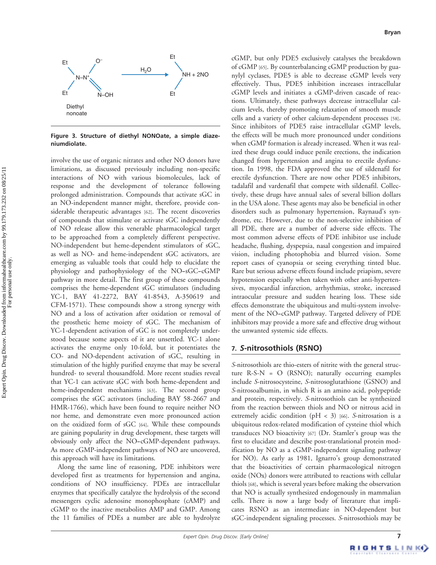

Figure 3. Structure of diethyl NONOate, a simple diazeniumdiolate.

involve the use of organic nitrates and other NO donors have limitations, as discussed previously including non-specific interactions of NO with various biomolecules, lack of response and the development of tolerance following prolonged administration. Compounds that activate sGC in an NO-independent manner might, therefore, provide considerable therapeutic advantages [62]. The recent discoveries of compounds that stimulate or activate sGC independently of NO release allow this venerable pharmacological target to be approached from a completely different perspective. NO-independent but heme-dependent stimulators of sGC, as well as NO- and heme-independent sGC activators, are emerging as valuable tools that could help to elucidate the physiology and pathophysiology of the NO-sGC-cGMP pathway in more detail. The first group of these compounds comprises the heme-dependent sGC stimulators (including YC-1, BAY 41-2272, BAY 41-8543, A-350619 and CFM-1571). These compounds show a strong synergy with NO and a loss of activation after oxidation or removal of the prosthetic heme moiety of sGC. The mechanism of YC-1-dependent activation of sGC is not completely understood because some aspects of it are unsettled. YC-1 alone activates the enzyme only 10-fold, but it potentiates the CO- and NO-dependent activation of sGC, resulting in stimulation of the highly purified enzyme that may be several hundred- to several thousandfold. More recent studies reveal that YC-1 can activate sGC with both heme-dependent and heme-independent mechanisms [63]. The second group comprises the sGC activators (including BAY 58-2667 and HMR-1766), which have been found to require neither NO nor heme, and demonstrate even more pronounced action on the oxidized form of sGC [64]. While these compounds are gaining popularity in drug development, these targets will obviously only affect the NO-cGMP-dependent pathways. As more cGMP-independent pathways of NO are uncovered, this approach will have its limitations.

Along the same line of reasoning, PDE inhibitors were developed first as treatments for hypertension and angina, conditions of NO insufficiency. PDEs are intracellular enzymes that specifically catalyze the hydrolysis of the second messengers cyclic adenosine monophosphate (cAMP) and cGMP to the inactive metabolites AMP and GMP. Among the 11 families of PDEs a number are able to hydrolyze cGMP, but only PDE5 exclusively catalyses the breakdown of cGMP [65]. By counterbalancing cGMP production by guanylyl cyclases, PDE5 is able to decrease cGMP levels very effectively. Thus, PDE5 inhibition increases intracellular cGMP levels and initiates a cGMP-driven cascade of reactions. Ultimately, these pathways decrease intracellular calcium levels, thereby promoting relaxation of smooth muscle cells and a variety of other calcium-dependent processes [58]. Since inhibitors of PDE5 raise intracellular cGMP levels, the effects will be much more pronounced under conditions when cGMP formation is already increased. When it was realized these drugs could induce penile erections, the indication changed from hypertension and angina to erectile dysfunction. In 1998, the FDA approved the use of sildenafil for erectile dysfunction. There are now other PDE5 inhibitors, tadalafil and vardenafil that compete with sildenafil. Collectively, these drugs have annual sales of several billion dollars in the USA alone. These agents may also be beneficial in other disorders such as pulmonary hypertension, Raynaud's syndrome, etc. However, due to the non-selective inhibition of all PDE, there are a number of adverse side effects. The most common adverse effects of PDE inhibitor use include headache, flushing, dyspepsia, nasal congestion and impaired vision, including photophobia and blurred vision. Some report cases of cyanopsia or seeing everything tinted blue. Rare but serious adverse effects found include priapism, severe hypotension especially when taken with other anti-hypertensives, myocardial infarction, arrhythmias, stroke, increased intraocular pressure and sudden hearing loss. These side effects demonstrate the ubiquitous and multi-system involvement of the NO-cGMP pathway. Targeted delivery of PDE inhibitors may provide a more safe and effective drug without the unwanted systemic side effects.

# 7. S-nitrosothiols (RSNO)

S-nitrosothiols are thio-esters of nitrite with the general structure  $R-S-N = O (RSNO)$ ; naturally occurring examples include S-nitrosocysteine, S-nitrosoglutathione (GSNO) and S-nitrosoalbumin, in which R is an amino acid, polypeptide and protein, respectively. S-nitrosothiols can be synthesized from the reaction between thiols and NO or nitrous acid in extremely acidic condition (pH < 3)  $[66]$ . S-nitrosation is a ubiquitous redox-related modification of cysteine thiol which transduces NO bioactivity [67] (Dr. Stamler's group was the first to elucidate and describe post-translational protein modification by NO as a cGMP-independent signaling pathway for NO). As early as 1981, Ignarro's group demonstrated that the bioactivities of certain pharmacological nitrogen oxide (NOx) donors were attributed to reactions with cellular thiols [68], which is several years before making the observation that NO is actually synthesized endogenously in mammalian cells. There is now a large body of literature that implicates RSNO as an intermediate in NO-dependent but sGC-independent signaling processes. S-nitrosothiols may be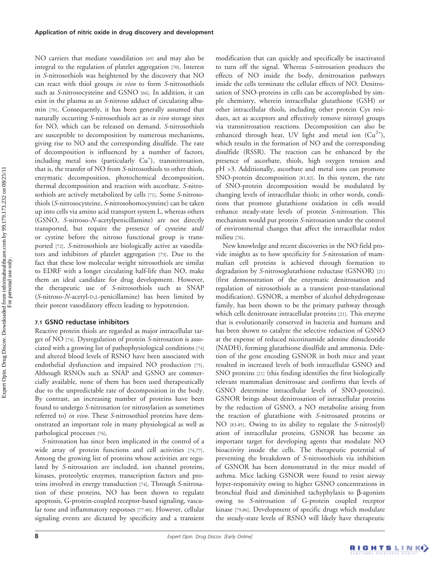NO carriers that mediate vasodilation [69] and may also be integral to the regulation of platelet aggregation [70]. Interest in S-nitrosothiols was heightened by the discovery that NO can react with thiol groups in vivo to form S-nitrosothiols such as S-nitrosocysteine and GSNO [66]. In addition, it can exist in the plasma as an S-nitroso adduct of circulating albumin [70]. Consequently, it has been generally assumed that naturally occurring S-nitrosothiols act as *in vivo* storage sites for NO, which can be released on demand. S-nitrosothiols are susceptible to decomposition by numerous mechanisms, giving rise to NO and the corresponding disulfide. The rate of decomposition is influenced by a number of factors, including metal ions (particularly Cu<sup>+</sup>), transnitrosation, that is, the transfer of NO from S-nitrosothiols to other thiols, enzymatic decomposition, photochemical decomposition, thermal decomposition and reaction with ascorbate. S-nitrosothiols are actively metabolized by cells [71]. Some S-nitrosothiols (S-nitrosocysteine, S-nitrosohomocysteine) can be taken up into cells via amino acid transport system L, whereas others (GSNO, S-nitroso-N-acetylpenicillamine) are not directly transported, but require the presence of cysteine and/ or cystine before the nitroso functional group is transported [72]. S-nitrosothiols are biologically active as vasodilators and inhibitors of platelet aggregation [73]. Due to the fact that these low molecular weight nitrosothiols are similar to EDRF with a longer circulating half-life than NO, make them an ideal candidate for drug development. However, the therapeutic use of S-nitrosothiols such as SNAP (S-nitroso-N-acetyl-D,L-penicillamine) has been limited by their potent vasodilatory effects leading to hypotension.

#### 7.1 GSNO reductase inhibitors

Reactive protein thiols are regarded as major intracellular target of NO [74]. Dysregulation of protein S-nitrosation is associated with a growing list of pathophysiological conditions [74] and altered blood levels of RSNO have been associated with endothelial dysfunction and impaired NO production [75]. Although RSNOs such as SNAP and GSNO are commercially available, none of them has been used therapeutically due to the unpredictable rate of decomposition in the body. By contrast, an increasing number of proteins have been found to undergo S-nitrosation (or nitrosylation as sometimes referred to) in vivo. These S-nitrosothiol proteins have demonstrated an important role in many physiological as well as pathological processes [76].

S-nitrosation has since been implicated in the control of a wide array of protein functions and cell activities [74,77]. Among the growing list of proteins whose activities are regulated by S-nitrosation are included, ion channel proteins, kinases, proteolytic enzymes, transcription factors and proteins involved in energy transduction [74]. Through S-nitrosation of these proteins, NO has been shown to regulate apoptosis, G-protein-coupled receptor-based signaling, vascular tone and inflammatory responses [77-80]. However, cellular signaling events are dictated by specificity and a transient

modification that can quickly and specifically be inactivated to turn off the signal. Whereas S-nitrosation produces the effects of NO inside the body, denitrosation pathways inside the cells terminate the cellular effects of NO. Denitrosation of SNO-proteins in cells can be accomplished by simple chemistry, wherein intracellular glutathione (GSH) or other intracellular thiols, including other protein Cys residues, act as acceptors and effectively remove nitrosyl groups via transnitrosation reactions. Decomposition can also be enhanced through heat, UV light and metal ion  $(Cu^{2+})$ , which results in the formation of NO and the corresponding disulfide (RSSR). The reaction can be enhanced by the presence of ascorbate, thiols, high oxygen tension and pH >3. Additionally, ascorbate and metal ions can promote SNO-protein decomposition [81,82]. In this system, the rate of SNO-protein decomposition would be modulated by changing levels of intracellular thiols; in other words, conditions that promote glutathione oxidation in cells would enhance steady-state levels of protein S-nitrosation. This mechanism would put protein S-nitrosation under the control of environmental changes that affect the intracellular redox milieu [76].

New knowledge and recent discoveries in the NO field provide insights as to how specificity for S-nitrosation of mammalian cell proteins is achieved through formation to degradation by S-nitrosoglutathione reductase (GSNOR) [21] (first demonstration of the enzymatic denitrosation and regulation of nitrosothiols as a transient post-translational modification). GSNOR, a member of alcohol dehydrogenase family, has been shown to be the primary pathway through which cells denitrosate intracellular proteins [21]. This enzyme that is evolutionarily conserved in bacteria and humans and has been shown to catalyze the selective reduction of GSNO at the expense of reduced nicotinamide adenine dinucleotide (NADH), forming glutathione disulfide and ammonia. Deletion of the gene encoding GSNOR in both mice and yeast resulted in increased levels of both intracellular GSNO and SNO proteins [21] (this finding identifies the first biologically relevant mammalian denitrosase and confirms that levels of GSNO determine intracellular levels of SNO-proteins). GSNOR brings about denitrosation of intracellular proteins by the reduction of GSNO, a NO metabolite arising from the reaction of glutathione with S-nitrosated proteins or NO [83-85]. Owing to its ability to regulate the S-nitros(yl) ation of intracellular proteins, GSNOR has become an important target for developing agents that modulate NO bioactivity inside the cells. The therapeutic potential of preventing the breakdown of S-nitrosothiols via inhibition of GSNOR has been demonstrated in the mice model of asthma. Mice lacking GSNOR were found to resist airway hyper-responsivity owing to higher GSNO concentrations in bronchial fluid and diminished tachyphylaxis to  $\beta$ -agonists owing to S-nitrosation of G-protein coupled receptor kinase [79,86]. Development of specific drugs which modulate the steady-state levels of RSNO will likely have therapeutic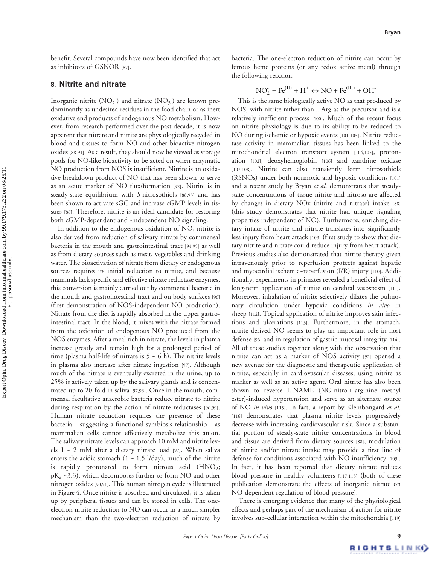benefit. Several compounds have now been identified that act as inhibitors of GSNOR [87].

# 8. Nitrite and nitrate

Inorganic nitrite  $(NO<sub>2</sub>^-)$  and nitrate  $(NO<sub>3</sub>^-)$  are known predominantly as undesired residues in the food chain or as inert oxidative end products of endogenous NO metabolism. However, from research performed over the past decade, it is now apparent that nitrate and nitrite are physiologically recycled in blood and tissues to form NO and other bioactive nitrogen oxides [88-91]. As a result, they should now be viewed as storage pools for NO-like bioactivity to be acted on when enzymatic NO production from NOS is insufficient. Nitrite is an oxidative breakdown product of NO that has been shown to serve as an acute marker of NO flux/formation [92]. Nitrite is in steady-state equilibrium with S-nitrosothiols [88,93] and has been shown to activate sGC and increase cGMP levels in tissues [88]. Therefore, nitrite is an ideal candidate for restoring both cGMP-dependent and -independent NO signaling.

In addition to the endogenous oxidation of NO, nitrite is also derived from reduction of salivary nitrate by commensal bacteria in the mouth and gastrointestinal tract [94,95] as well as from dietary sources such as meat, vegetables and drinking water. The bioactivation of nitrate from dietary or endogenous sources requires its initial reduction to nitrite, and because mammals lack specific and effective nitrate reductase enzymes, this conversion is mainly carried out by commensal bacteria in the mouth and gastrointestinal tract and on body surfaces [96] (first demonstration of NOS-independent NO production). Nitrate from the diet is rapidly absorbed in the upper gastrointestinal tract. In the blood, it mixes with the nitrate formed from the oxidation of endogenous NO produced from the NOS enzymes. After a meal rich in nitrate, the levels in plasma increase greatly and remain high for a prolonged period of time (plasma half-life of nitrate is  $5 - 6$  h). The nitrite levels in plasma also increase after nitrate ingestion [97]. Although much of the nitrate is eventually excreted in the urine, up to 25% is actively taken up by the salivary glands and is concentrated up to 20-fold in saliva [97,98]. Once in the mouth, commensal facultative anaerobic bacteria reduce nitrate to nitrite during respiration by the action of nitrate reductases [96,99]. Human nitrate reduction requires the presence of these bacteria – suggesting a functional symbiosis relationship – as mammalian cells cannot effectively metabolize this anion. The salivary nitrate levels can approach 10 mM and nitrite levels  $1 - 2$  mM after a dietary nitrate load [97]. When saliva enters the acidic stomach  $(1 - 1.5 \frac{\text{I}}{\text{day}})$ , much of the nitrite is rapidly protonated to form nitrous acid  $(HNO<sub>2</sub>;$  $pK_a \sim 3.3$ ), which decomposes further to form NO and other nitrogen oxides [90,91]. This human nitrogen cycle is illustrated in Figure 4. Once nitrite is absorbed and circulated, it is taken up by peripheral tissues and can be stored in cells. The oneelectron nitrite reduction to NO can occur in a much simpler mechanism than the two-electron reduction of nitrate by

bacteria. The one-electron reduction of nitrite can occur by ferrous heme proteins (or any redox active metal) through the following reaction:

# $NO<sub>2</sub> + Fe<sup>(II)</sup> + H<sup>+</sup> \leftrightarrow NO + Fe<sup>(III)</sup> + OH<sup>-</sup>$

This is the same biologically active NO as that produced by NOS, with nitrite rather than L-Arg as the precursor and is a relatively inefficient process [100]. Much of the recent focus on nitrite physiology is due to its ability to be reduced to NO during ischemic or hypoxic events [101-103]. Nitrite reductase activity in mammalian tissues has been linked to the mitochondrial electron transport system [104,105], protonation [102], deoxyhemoglobin [106] and xanthine oxidase [107,108]. Nitrite can also transiently form nitrosothiols (RSNOs) under both normoxic and hypoxic conditions [101] and a recent study by Bryan et al. demonstrates that steadystate concentrations of tissue nitrite and nitroso are affected by changes in dietary NOx (nitrite and nitrate) intake [88] (this study demonstrates that nitrite had unique signaling properties independent of NO). Furthermore, enriching dietary intake of nitrite and nitrate translates into significantly less injury from heart attack [109] (first study to show that dietary nitrite and nitrate could reduce injury from heart attack). Previous studies also demonstrated that nitrite therapy given intravenously prior to reperfusion protects against hepatic and myocardial ischemia--reperfusion (I/R) injury [110]. Additionally, experiments in primates revealed a beneficial effect of long-term application of nitrite on cerebral vasospasm [111]. Moreover, inhalation of nitrite selectively dilates the pulmonary circulation under hypoxic conditions in vivo in sheep [112]. Topical application of nitrite improves skin infections and ulcerations [113]. Furthermore, in the stomach, nitrite-derived NO seems to play an important role in host defense [96] and in regulation of gastric mucosal integrity [114]. All of these studies together along with the observation that nitrite can act as a marker of NOS activity [92] opened a new avenue for the diagnostic and therapeutic application of nitrite, especially in cardiovascular diseases, using nitrite as marker as well as an active agent. Oral nitrite has also been shown to reverse L-NAME (NG-nitro-L-arginine methyl ester)-induced hypertension and serve as an alternate source of NO in vivo [115]. In fact, a report by Kleinbongard et al. [116] demonstrates that plasma nitrite levels progressively decrease with increasing cardiovascular risk. Since a substantial portion of steady-state nitrite concentrations in blood and tissue are derived from dietary sources [88], modulation of nitrite and/or nitrate intake may provide a first line of defense for conditions associated with NO insufficiency [103]. In fact, it has been reported that dietary nitrate reduces blood pressure in healthy volunteers [117,118] (both of these publication demonstrate the effects of inorganic nitrate on NO-dependent regulation of blood pressure).

There is emerging evidence that many of the physiological effects and perhaps part of the mechanism of action for nitrite involves sub-cellular interaction within the mitochondria [119]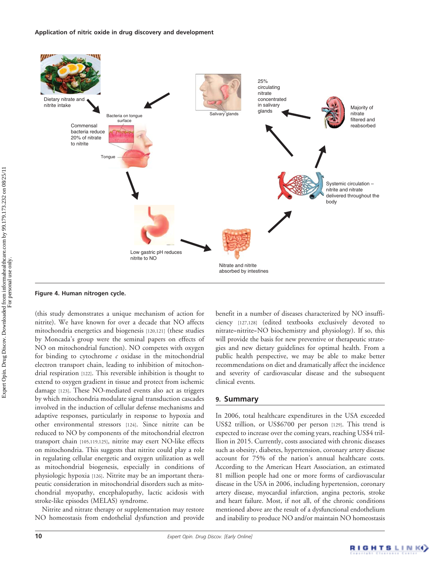

Figure 4. Human nitrogen cycle.

(this study demonstrates a unique mechanism of action for nitrite). We have known for over a decade that NO affects mitochondria energetics and biogenesis [120,121] (these studies by Moncada's group were the seminal papers on effects of NO on mitochondrial function). NO competes with oxygen for binding to cytochrome  $c$  oxidase in the mitochondrial electron transport chain, leading to inhibition of mitochondrial respiration [122]. This reversible inhibition is thought to extend to oxygen gradient in tissue and protect from ischemic damage [123]. These NO-mediated events also act as triggers by which mitochondria modulate signal transduction cascades involved in the induction of cellular defense mechanisms and adaptive responses, particularly in response to hypoxia and other environmental stressors [124]. Since nitrite can be reduced to NO by components of the mitochondrial electron transport chain [105,119,125], nitrite may exert NO-like effects on mitochondria. This suggests that nitrite could play a role in regulating cellular energetic and oxygen utilization as well as mitochondrial biogenesis, especially in conditions of physiologic hypoxia [126]. Nitrite may be an important therapeutic consideration in mitochondrial disorders such as mitochondrial myopathy, encephalopathy, lactic acidosis with stroke-like episodes (MELAS) syndrome.

Nitrite and nitrate therapy or supplementation may restore NO homeostasis from endothelial dysfunction and provide benefit in a number of diseases characterized by NO insufficiency [127,128] (edited textbooks exclusively devoted to nitrate-nitrite-NO biochemistry and physiology). If so, this will provide the basis for new preventive or therapeutic strategies and new dietary guidelines for optimal health. From a public health perspective, we may be able to make better recommendations on diet and dramatically affect the incidence and severity of cardiovascular disease and the subsequent clinical events.

# 9. Summary

In 2006, total healthcare expenditures in the USA exceeded US\$2 trillion, or US\$6700 per person [129]. This trend is expected to increase over the coming years, reaching US\$4 trilllion in 2015. Currently, costs associated with chronic diseases such as obesity, diabetes, hypertension, coronary artery disease account for 75% of the nation's annual healthcare costs. According to the American Heart Association, an estimated 81 million people had one or more forms of cardiovascular disease in the USA in 2006, including hypertension, coronary artery disease, myocardial infarction, angina pectoris, stroke and heart failure. Most, if not all, of the chronic conditions mentioned above are the result of a dysfunctional endothelium and inability to produce NO and/or maintain NO homeostasis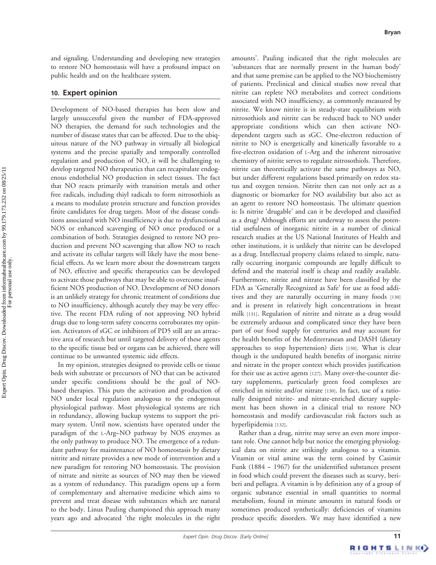and signaling. Understanding and developing new strategies to restore NO homeostasis will have a profound impact on public health and on the healthcare system.

# 10. Expert opinion

Development of NO-based therapies has been slow and largely unsuccessful given the number of FDA-approved NO therapies, the demand for such technologies and the number of disease states that can be affected. Due to the ubiquitous nature of the NO pathway in virtually all biological systems and the precise spatially and temporally controlled regulation and production of NO, it will be challenging to develop targeted NO therapeutics that can recapitulate endogenous endothelial NO production in select tissues. The fact that NO reacts primarily with transition metals and other free radicals, including thiyl radicals to form nitrosothiols as a means to modulate protein structure and function provides finite candidates for drug targets. Most of the disease conditions associated with NO insufficiency is due to dysfunctional NOS or enhanced scavenging of NO once produced or a combination of both. Strategies designed to restore NO production and prevent NO scavenging that allow NO to reach and activate its cellular targets will likely have the most beneficial effects. As we learn more about the downstream targets of NO, effective and specific therapeutics can be developed to activate those pathways that may be able to overcome insufficient NOS production of NO. Development of NO donors is an unlikely strategy for chronic treatment of conditions due to NO insufficiency, although acutely they may be very effective. The recent FDA ruling of not approving NO hybrid drugs due to long-term safety concerns corroborates my opinion. Activators of sGC or inhibitors of PD5 still are an attractive area of research but until targeted delivery of these agents to the specific tissue bed or organs can be achieved, there will continue to be unwanted systemic side effects.

In my opinion, strategies designed to provide cells or tissue beds with substrate or precursors of NO that can be activated under specific conditions should be the goal of NObased therapies. This puts the activation and production of NO under local regulation analogous to the endogenous physiological pathway. Most physiological systems are rich in redundancy, allowing backup systems to support the primary system. Until now, scientists have operated under the paradigm of the L-Arg--NO pathway by NOS enzymes as the only pathway to produce NO. The emergence of a redundant pathway for maintenance of NO homeostasis by dietary nitrite and nitrate provides a new mode of intervention and a new paradigm for restoring NO homeostasis. The provision of nitrate and nitrite as sources of NO may then be viewed as a system of redundancy. This paradigm opens up a form of complementary and alternative medicine which aims to prevent and treat disease with substances which are natural to the body. Linus Pauling championed this approach many years ago and advocated 'the right molecules in the right amounts'. Pauling indicated that the right molecules are 'substances that are normally present in the human body' and that same premise can be applied to the NO biochemistry of patients. Preclinical and clinical studies now reveal that nitrite can replete NO metabolites and correct conditions associated with NO insufficiency, as commonly measured by nitrite. We know nitrite is in steady-state equilibrium with nitrosothiols and nitrite can be reduced back to NO under appropriate conditions which can then activate NOdependent targets such as sGC. One-electron reduction of nitrite to NO is energetically and kinetically favorable to a five-electron oxidation of L-Arg and the inherent nitrosative chemistry of nitrite serves to regulate nitrosothiols. Therefore, nitrite can theoretically activate the same pathways as NO, but under different regulations based primarily on redox status and oxygen tension. Nitrite then can not only act as a diagnostic or biomarker for NO availability but also act as an agent to restore NO homeostasis. The ultimate question is: Is nitrite 'drugable' and can it be developed and classified as a drug? Although efforts are underway to assess the potential usefulness of inorganic nitrite in a number of clinical research studies at the US National Institutes of Health and other institutions, it is unlikely that nitrite can be developed as a drug. Intellectual property claims related to simple, naturally occurring inorganic compounds are legally difficult to defend and the material itself is cheap and readily available. Furthermore, nitrite and nitrate have been classified by the FDA as 'Generally Recognized as Safe' for use as food additives and they are naturally occurring in many foods [130] and is present in relatively high concentrations in breast milk [131]. Regulation of nitrite and nitrate as a drug would be extremely arduous and complicated since they have been part of our food supply for centuries and may account for the health benefits of the Mediterranean and DASH (dietary approaches to stop hypertension) diets [130]. What is clear though is the undisputed health benefits of inorganic nitrite and nitrate in the proper context which provides justification for their use as active agents [127]. Many over-the-counter dietary supplements, particularly green food complexes are enriched in nitrite and/or nitrate [130]. In fact, use of a rationally designed nitrite- and nitrate-enriched dietary supplement has been shown in a clinical trial to restore NO homeostasis and modify cardiovascular risk factors such as hyperlipidemia [132].

Rather than a drug, nitrite may serve an even more important role. One cannot help but notice the emerging physiological data on nitrite are strikingly analogous to a vitamin. Vitamin or vital amine was the term coined by Casimir Funk (1884 -- 1967) for the unidentified substances present in food which could prevent the diseases such as scurvy, beriberi and pellagra. A vitamin is by definition any of a group of organic substance essential in small quantities to normal metabolism, found in minute amounts in natural foods or sometimes produced synthetically: deficiencies of vitamins produce specific disorders. We may have identified a new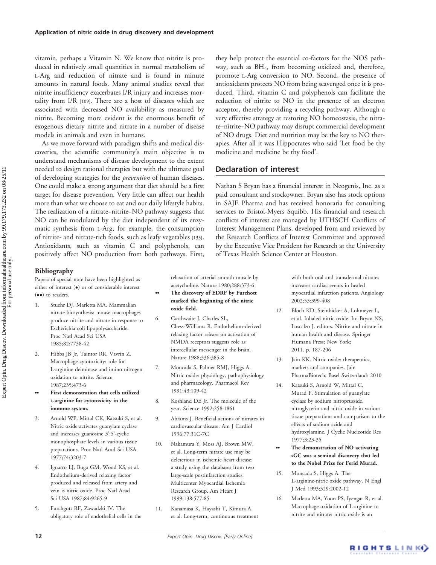vitamin, perhaps a Vitamin N. We know that nitrite is produced in relatively small quantities in normal metabolism of L-Arg and reduction of nitrate and is found in minute amounts in natural foods. Many animal studies reveal that nitrite insufficiency exacerbates I/R injury and increases mortality from I/R [109]. There are a host of diseases which are associated with decreased NO availability as measured by nitrite. Becoming more evident is the enormous benefit of exogenous dietary nitrite and nitrate in a number of disease models in animals and even in humans.

As we move forward with paradigm shifts and medical discoveries, the scientific community's main objective is to understand mechanisms of disease development to the extent needed to design rational therapies but with the ultimate goal of developing strategies for the prevention of human diseases. One could make a strong argument that diet should be a first target for disease prevention. Very little can affect our health more than what we choose to eat and our daily lifestyle habits. The realization of a nitrate-nitrite-NO pathway suggests that NO can be modulated by the diet independent of its enzymatic synthesis from L-Arg, for example, the consumption of nitrite- and nitrate-rich foods, such as leafy vegetables [133]. Antioxidants, such as vitamin C and polyphenols, can positively affect NO production from both pathways. First,

they help protect the essential co-factors for the NOS pathway, such as BH4, from becoming oxidized and, therefore, promote L-Arg conversion to NO. Second, the presence of antioxidants protects NO from being scavenged once it is produced. Third, vitamin C and polyphenols can facilitate the reduction of nitrite to NO in the presence of an electron acceptor, thereby providing a recycling pathway. Although a very effective strategy at restoring NO homeostasis, the nitrate--nitrite--NO pathway may disrupt commercial development of NO drugs. Diet and nutrition may be the key to NO therapies. After all it was Hippocrates who said 'Let food be thy medicine and medicine be thy food'.

# Declaration of interest

Nathan S Bryan has a financial interest in Neogenis, Inc. as a paid consultant and stockowner. Bryan also has stock options in SAJE Pharma and has received honoraria for consulting services to Bristol-Myers Squibb. His financial and research conflicts of interest are managed by UTHSCH Conflicts of Interest Management Plans, developed from and reviewed by the Research Conflicts of Interest Committee and approved by the Executive Vice President for Research at the University of Texas Health Science Center at Houston.

# Bibliography

Papers of special note have been highlighted as either of interest ( $\bullet$ ) or of considerable interest  $(••)$  to readers.

- 1. Stuehr DJ, Marletta MA. Mammalian nitrate biosynthesis: mouse macrophages produce nitrite and nitrate in response to Escherichia coli lipopolysaccharide. Proc Natl Acad Sci USA 1985;82:7738-42
- 2. Hibbs JB Jr, Taintor RR, Vavrin Z. Macrophage cytotoxicity: role for L-arginine deiminase and imino nitrogen oxidation to nitrite. Science 1987;235:473-6
- First demonstration that cells utilized L-arginine for cytotoxicity in the immune system.
- 3. Arnold WP, Mittal CK, Katsuki S, et al. Nitric oxide activates guanylate cyclase and increases guanosine 3':5'-cyclic monophosphate levels in various tissue preparations. Proc Natl Acad Sci USA 1977;74:3203-7
- 4. Ignarro LJ, Buga GM, Wood KS, et al. Endothelium-derived relaxing factor produced and released from artery and vein is nitric oxide. Proc Natl Acad Sci USA 1987;84:9265-9
- 5. Furchgott RF, Zawadzki JV. The obligatory role of endothelial cells in the

relaxation of arterial smooth muscle by acetycholine. Nature 1980;288:373-6

- .. The discovery of EDRF by Furchott marked the beginning of the nitric oxide field.
- 6. Garthwaite J, Charles SL, Chess-Williams R. Endothelium-derived relaxing factor release on activation of NMDA receptors suggests role as intercellular messenger in the brain. Nature 1988;336:385-8
- 7. Moncada S, Palmer RMJ, Higgs A. Nitric oxide: physiology, pathophysiology and pharmacology. Pharmacol Rev 1991;43:109-42
- 8. Koshland DE Jr. The molecule of the year. Science 1992;258:1861
- 9. Abrams J. Beneficial actions of nitrates in cardiovascular disease. Am J Cardiol 1996;77:31C-7C
- 10. Nakamura Y, Moss AJ, Brown MW, et al. Long-term nitrate use may be deleterious in ischemic heart disease: a study using the databases from two large-scale postinfarction studies. Multicenter Myocardial Ischemia Research Group. Am Heart J 1999;138:577-85
- 11. Kanamasa K, Hayashi T, Kimura A, et al. Long-term, continuous treatment

with both oral and transdermal nitrates increases cardiac events in healed myocardial infarction patients. Angiology 2002;53:399-408

- 12. Bloch KD, Steinbicker A, Lohmeyer L, et al. Inhaled nitric oxide. In: Bryan NS, Loscalzo J. editors. Nitrite and nitrate in human health and disease. Springer Humana Press; New York; 2011. p. 187-206
- 13. Jain KK. Nitric oxide: therapeutics, markets and companies. Jain PharmaBiotech; Basel Switzerland: 2010
- 14. Katsuki S, Arnold W, Mittal C, Murad F. Stimulation of guanylate cyclase by sodium nitroprusside, nitroglycerin and nitric oxide in various tissue preparations and comparison to the effects of sodium azide and hydroxylamine. J Cyclic Nucleotide Res 1977;3:23-35
- The demonstration of NO activating sGC was a seminal discovery that led to the Nobel Prize for Ferid Murad.
- 15. Moncada S, Higgs A. The L-arginine-nitric oxide pathway. N Engl J Med 1993;329:2002-12
- 16. Marletta MA, Yoon PS, Iyengar R, et al. Macrophage oxidation of L-arginine to nitrite and nitrate: nitric oxide is an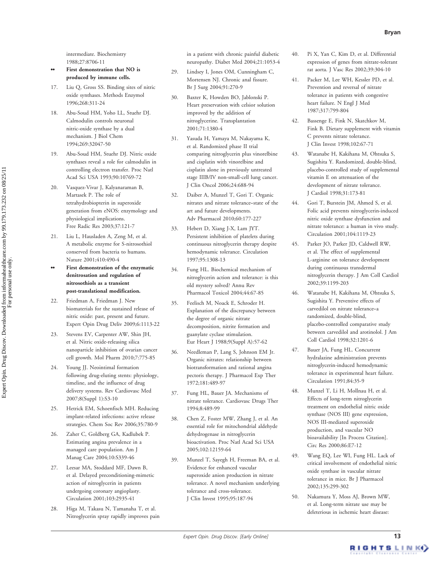intermediate. Biochemistry 1988;27:8706-11

- First demonstration that NO is produced by immune cells.
- 17. Liu Q, Gross SS. Binding sites of nitric oxide synthases. Methods Enzymol 1996;268:311-24
- 18. Abu-Soud HM, Yoho LL, Stuehr DJ. Calmodulin controls neuronal nitric-oxide synthase by a dual mechanism. J Biol Chem 1994;269:32047-50
- 19. Abu-Soud HM, Stuehr DJ. Nitric oxide synthases reveal a role for calmodulin in controlling electron transfer. Proc Natl Acad Sci USA 1993;90:10769-72
- 20. Vasquez-Vivar J, Kalyanaraman B, Martasek P. The role of tetrahydrobiopterin in superoxide generation from eNOS: enzymology and physiological implications. Free Radic Res 2003;37:121-7
- 21. Liu L, Hausladen A, Zeng M, et al. A metabolic enzyme for S-nitrosothiol conserved from bacteria to humans. Nature 2001;410:490-4
- First demonstration of the enzymatic denitrosation and regulation of nitrosothiols as a transient post-translational modification.
- 22. Friedman A, Friedman J. New biomaterials for the sustained release of nitric oxide: past, present and future. Expert Opin Drug Deliv 2009;6:1113-22
- 23. Stevens EV, Carpenter AW, Shin JH, et al. Nitric oxide-releasing silica nanoparticle inhibition of ovarian cancer cell growth. Mol Pharm 2010;7:775-85
- 24. Young JJ. Neointimal formation following drug-eluting stents: physiology, timeline, and the influence of drug delivery systems. Rev Cardiovasc Med 2007;8(Suppl 1):S3-10
- 25. Hetrick EM, Schoenfisch MH. Reducing implant-related infections: active release strategies. Chem Soc Rev 2006;35:780-9
- 26. Zaher C, Goldberg GA, Kadlubek P. Estimating angina prevalence in a managed care population. Am J Manag Care 2004;10:S339-46
- 27. Leesar MA, Stoddard MF, Dawn B, et al. Delayed preconditioning-mimetic action of nitroglycerin in patients undergoing coronary angioplasty. Circulation 2001;103:2935-41
- 28. Higa M, Takasu N, Tamanaha T, et al. Nitroglycerin spray rapidly improves pain

in a patient with chronic painful diabetic neuropathy. Diabet Med 2004;21:1053-4

- 29. Lindsey I, Jones OM, Cunningham C, Mortensen NJ. Chronic anal fissure. Br J Surg 2004;91:270-9
- 30. Baxter K, Howden BO, Jablonski P. Heart preservation with celsior solution improved by the addition of nitroglycerine. Transplantation 2001;71:1380-4
- 31. Yasuda H, Yamaya M, Nakayama K, et al. Randomized phase II trial comparing nitroglycerin plus vinorelbine and cisplatin with vinorelbine and cisplatin alone in previously untreated stage IIIB/IV non-small-cell lung cancer. J Clin Oncol 2006;24:688-94
- 32. Daiber A, Munzel T, Gori T. Organic nitrates and nitrate tolerance-state of the art and future developments. Adv Pharmacol 2010;60:177-227
- 33. Hebert D, Xiang J-X, Lam JYT. Persistent inhibition of platelets during continuous nitroglycerin therapy despite hemodynamic tolerance. Circulation 1997;95:1308-13
- 34. Fung HL. Biochemical mechanism of nitroglycerin action and tolerance: is this old mystery solved? Annu Rev Pharmacol Toxicol 2004;44:67-85
- 35. Feelisch M, Noack E, Schroder H. Explanation of the discrepancy between the degree of organic nitrate decomposition, nitrite formation and guanylate cyclase stimulation. Eur Heart J 1988;9(Suppl A):57-62
- 36. Needleman P, Lang S, Johnson EM Jr. Organic nitrates: relationship between biotransformation and rational angina pectoris therapy. J Pharmacol Exp Ther 1972;181:489-97
- 37. Fung HL, Bauer JA. Mechanisms of nitrate tolerance. Cardiovasc Drugs Ther 1994;8:489-99
- 38. Chen Z, Foster MW, Zhang J, et al. An essential role for mitochondrial aldehyde dehydrogenase in nitroglycerin bioactivation. Proc Natl Acad Sci USA 2005;102:12159-64
- 39. Munzel T, Sayegh H, Freeman BA, et al. Evidence for enhanced vascular superoxide anion production in nitrate tolerance. A novel mechanism underlying tolerance and cross-tolerance. J Clin Invest 1995;95:187-94
- 40. Pi X, Yan C, Kim D, et al. Differential expression of genes from nitrate-tolerant rat aorta. J Vasc Res 2002;39:304-10
- 41. Packer M, Lee WH, Kessler PD, et al. Prevention and reversal of nitrate tolerance in patients with congestive heart failure. N Engl J Med 1987;317:799-804
- 42. Bassenge E, Fink N, Skatchkov M, Fink B. Dietary supplement with vitamin C prevents nitrate tolerance. J Clin Invest 1998;102:67-71
- 43. Watanabe H, Kakihana M, Ohtsuka S, Sugishita Y. Randomized, double-blind, placebo-controlled study of supplemental vitamin E on attenuation of the development of nitrate tolerance. J Cardiol 1998;31:173-81
- 44. Gori T, Burstein JM, Ahmed S, et al. Folic acid prevents nitroglycerin-induced nitric oxide synthase dysfunction and nitrate tolerance: a human in vivo study. Circulation 2001;104:1119-23
- 45. Parker JO, Parker JD, Caldwell RW, et al. The effect of supplemental L-arginine on tolerance development during continuous transdermal nitroglycerin therapy. J Am Coll Cardiol 2002;39:1199-203
- 46. Watanabe H, Kakihana M, Ohtsuka S, Sugishita Y. Preventive effects of carvedilol on nitrate tolerance-a randomized, double-blind, placebo-controlled comparative study between carvedilol and arotinolol. J Am Coll Cardiol 1998;32:1201-6
- 47. Bauer JA, Fung HL. Concurrent hydralazine administration prevents nitroglycerin-induced hemodynamic tolerance in experimental heart failure. Circulation 1991;84:35-9
- 48. Munzel T, Li H, Mollnau H, et al. Effects of long-term nitroglycerin treatment on endothelial nitric oxide synthase (NOS III) gene expression, NOS III-mediated superoxide production, and vascular NO bioavailability [In Process Citation]. Circ Res 2000;86:E7-12
- 49. Wang EQ, Lee WI, Fung HL. Lack of critical involvement of endothelial nitric oxide synthase in vascular nitrate tolerance in mice. Br J Pharmacol 2002;135:299-302
- 50. Nakamura Y, Moss AJ, Brown MW, et al. Long-term nitrate use may be deleterious in ischemic heart disease: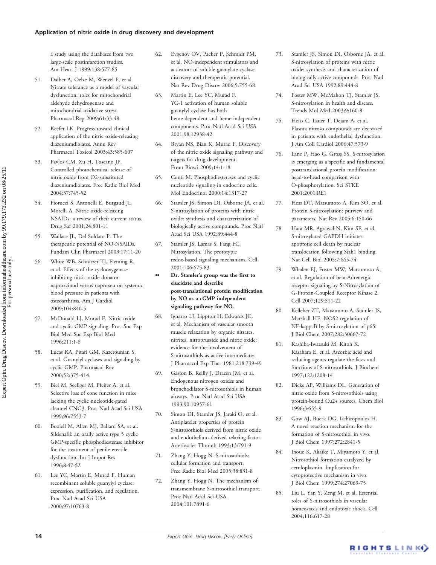#### Application of nitric oxide in drug discovery and development

a study using the databases from two large-scale postinfarction studies. Am Heart J 1999;138:577-85

- 51. Daiber A, Oelze M, Wenzel P, et al. Nitrate tolerance as a model of vascular dysfunction: roles for mitochondrial aldehyde dehydrogenase and mitochondrial oxidative stress. Pharmacol Rep 2009;61:33-48
- 52. Keefer LK. Progress toward clinical application of the nitric oxide-releasing diazeniumdiolates. Annu Rev Pharmacol Toxicol 2003;43:585-607
- 53. Pavlos CM, Xu H, Toscano JP. Controlled photochemical release of nitric oxide from O2-substituted diazeniumdiolates. Free Radic Biol Med 2004;37:745-52
- 54. Fiorucci S, Antonelli E, Burgaud JL, Morelli A. Nitric oxide-releasing NSAIDs: a review of their current status. Drug Saf 2001;24:801-11
- 55. Wallace JL, Del Soldato P. The therapeutic potential of NO-NSAIDs. Fundam Clin Pharmacol 2003;17:11-20
- 56. White WB, Schnitzer TJ, Fleming R, et al. Effects of the cyclooxygenase inhibiting nitric oxide donator naproxcinod versus naproxen on systemic blood pressure in patients with osteoarthritis. Am J Cardiol 2009;104:840-5
- 57. McDonald LJ, Murad F. Nitric oxide and cyclic GMP signaling. Proc Soc Exp Biol Med Soc Exp Biol Med 1996;211:1-6
- 58. Lucas KA, Pitari GM, Kazerounian S, et al. Guanylyl cyclases and signaling by cyclic GMP. Pharmacol Rev 2000;52:375-414
- 59. Biel M, Seeliger M, Pfeifer A, et al. Selective loss of cone function in mice lacking the cyclic nucleotide-gated channel CNG3. Proc Natl Acad Sci USA 1999;96:7553-7
- 60. Boolell M, Allen MJ, Ballard SA, et al. Sildenafil: an orally active type 5 cyclic GMP-specific phosphodiesterase inhibitor for the treatment of penile erectile dysfunction. Int J Impot Res 1996;8:47-52
- 61. Lee YC, Martin E, Murad F. Human recombinant soluble guanylyl cyclase: expression, purification, and regulation. Proc Natl Acad Sci USA 2000;97:10763-8
- 62. Evgenov OV, Pacher P, Schmidt PM, et al. NO-independent stimulators and activators of soluble guanylate cyclase: discovery and therapeutic potential. Nat Rev Drug Discov 2006;5:755-68
- 63. Martin E, Lee YC, Murad F. YC-1 activation of human soluble guanylyl cyclase has both heme-dependent and heme-independent components. Proc Natl Acad Sci USA 2001;98:12938-42
- 64. Bryan NS, Bian K, Murad F. Discovery of the nitric oxide signaling pathway and targets for drug development. Front Biosci 2009;14:1-18
- 65. Conti M. Phosphodiesterases and cyclic nucleotide signaling in endocrine cells. Mol Endocrinol 2000;14:1317-27
- 66. Stamler JS, Simon DI, Osborne JA, et al. S-nitrosylation of proteins with nitric oxide: synthesis and characterization of biologically active compounds. Proc Natl Acad Sci USA 1992;89:444-8
- 67. Stamler JS, Lamas S, Fang FC. Nitrosylation. The prototypic redox-based signaling mechanism. Cell 2001;106:675-83
- Dr. Stamler's group was the first to elucidate and describe post-translational protein modification by NO as a cGMP independent signaling pathway for NO.
- 68. Ignarro LJ, Lippton H, Edwards JC, et al. Mechanism of vascular smooth muscle relaxation by organic nitrates, nitrites, nitroprusside and nitric oxide: evidence for the involvement of S-nitrosothiols as active intermediates. J Pharmacol Exp Ther 1981;218:739-49
- 69. Gaston B, Reilly J, Drazen JM, et al. Endogenous nitrogen oxides and bronchodilator S-nitrosothiols in human airways. Proc Natl Acad Sci USA 1993;90:10957-61
- 70. Simon DI, Stamler JS, Jaraki O, et al. Antiplatelet properties of protein S-nitrosothiols derived from nitric oxide and endothelium-derived relaxing factor. Arterioscler Thromb 1993;13:791-9
- 71. Zhang Y, Hogg N. S-nitrosothiols: cellular formation and transport. Free Radic Biol Med 2005;38:831-8
- 72. Zhang Y, Hogg N. The mechanism of transmembrane S-nitrosothiol transport. Proc Natl Acad Sci USA 2004;101:7891-6
- 73. Stamler JS, Simon DI, Osborne JA, et al. S-nitrosylation of proteins with nitric oxide: synthesis and characterization of biologically active compounds. Proc Natl Acad Sci USA 1992;89:444-8
- 74. Foster MW, McMahon TJ, Stamler JS. S-nitrosylation in health and disease. Trends Mol Med 2003;9:160-8
- 75. Heiss C, Lauer T, Dejam A, et al. Plasma nitroso compounds are decreased in patients with endothelial dysfunction. J Am Coll Cardiol 2006;47:573-9
- 76. Lane P, Hao G, Gross SS. S-nitrosylation is emerging as a specific and fundamental posttranslational protein modification: head-to-head comparison with O-phosphorylation. Sci STKE 2001;2001:RE1
- 77. Hess DT, Matsumoto A, Kim SO, et al. Protein S-nitrosylation: purview and parameters. Nat Rev 2005;6:150-66
- 78. Hara MR, Agrawal N, Kim SF, et al. S-nitrosylated GAPDH initiates apoptotic cell death by nuclear translocation following Siah1 binding. Nat Cell Biol 2005;7:665-74
- 79. Whalen EJ, Foster MW, Matsumoto A, et al. Regulation of beta-Adrenergic receptor signaling by S-Nitrosylation of G-Protein-Coupled Receptor Kinase 2. Cell 2007;129:511-22
- 80. Kelleher ZT, Matsumoto A, Stamler JS, Marshall HE. NOS2 regulation of NF-kappaB by S-nitrosylation of p65. J Biol Chem 2007;282:30667-72
- 81. Kashiba-Iwatsuki M, Kitoh K, Kasahara E, et al. Ascorbic acid and reducing agents regulate the fates and functions of S-nitrosothiols. J Biochem 1997;122:1208-14
- 82. Dicks AP, Williams DL. Generation of nitric oxide from S-nitrosothiols using protein-bound Cu2+ sources. Chem Biol 1996;3:655-9
- 83. Gow AJ, Buerk DG, Ischiropoulos H. A novel reaction mechanism for the formation of S-nitrosothiol in vivo. J Biol Chem 1997;272:2841-5
- 84. Inoue K, Akaike T, Miyamoto Y, et al. Nitrosothiol formation catalyzed by ceruloplasmin. Implication for cytoprotective mechanism in vivo. J Biol Chem 1999;274:27069-75
- 85. Liu L, Yan Y, Zeng M, et al. Essential roles of S-nitrosothiols in vascular homeostasis and endotoxic shock. Cell 2004;116:617-28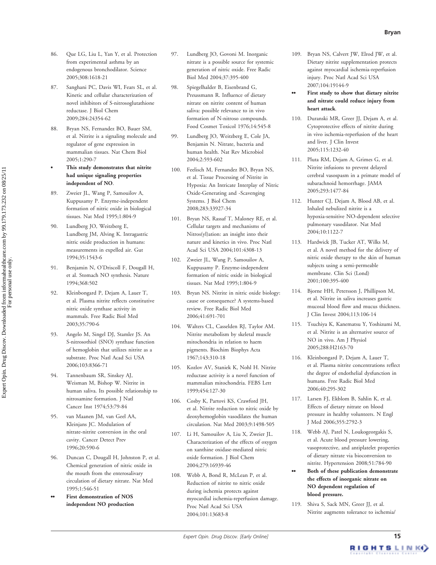- 86. Que LG, Liu L, Yan Y, et al. Protection from experimental asthma by an endogenous bronchodilator. Science 2005;308:1618-21
- 87. Sanghani PC, Davis WI, Fears SL, et al. Kinetic and cellular characterization of novel inhibitors of S-nitrosoglutathione reductase. J Biol Chem 2009;284:24354-62
- 88. Bryan NS, Fernandez BO, Bauer SM, et al. Nitrite is a signaling molecule and regulator of gene expression in mammalian tissues. Nat Chem Biol 2005;1:290-7
- . This study demonstrates that nitrite had unique signaling properties independent of NO.
- 89. Zweier JL, Wang P, Samouilov A, Kuppusamy P. Enzyme-independent formation of nitric oxide in biological tissues. Nat Med 1995;1:804-9
- 90. Lundberg JO, Weitzberg E, Lundberg JM, Alving K. Intragastric nitric oxide production in humans: measurements in expelled air. Gut 1994;35:1543-6
- 91. Benjamin N, O'Driscoll F, Dougall H, et al. Stomach NO synthesis. Nature 1994;368:502
- 92. Kleinbongard P, Dejam A, Lauer T, et al. Plasma nitrite reflects constitutive nitric oxide synthase activity in mammals. Free Radic Biol Med 2003;35:790-6
- 93. Angelo M, Singel DJ, Stamler JS. An S-nitrosothiol (SNO) synthase function of hemoglobin that utilizes nitrite as a substrate. Proc Natl Acad Sci USA 2006;103:8366-71
- 94. Tannenbaum SR, Sinskey AJ, Weisman M, Bishop W. Nitrite in human saliva. Its possible relationship to nitrosamine formation. J Natl Cancer Inst 1974;53:79-84
- 95. van Maanen JM, van Geel AA, Kleinjans JC. Modulation of nitrate-nitrite conversion in the oral cavity. Cancer Detect Prev 1996;20:590-6
- 96. Duncan C, Dougall H, Johnston P, et al. Chemical generation of nitric oxide in the mouth from the enterosalivary circulation of dietary nitrate. Nat Med 1995;1:546-51
- First demonstration of NOS independent NO production
- 97. Lundberg JO, Govoni M. Inorganic nitrate is a possible source for systemic generation of nitric oxide. Free Radic Biol Med 2004;37:395-400
- 98. Spiegelhalder B, Eisenbrand G, Preussmann R. Influence of dietary nitrate on nitrite content of human saliva: possible relevance to in vivo formation of N-nitroso compounds. Food Cosmet Toxicol 1976;14:545-8
- 99. Lundberg JO, Weitzberg E, Cole JA, Benjamin N. Nitrate, bacteria and human health. Nat Rev Microbiol 2004;2:593-602
- 100. Feelisch M, Fernandez BO, Bryan NS, et al. Tissue Processing of Nitrite in Hypoxia: An Intricate Interplay of Nitric Oxide-Generating and -Scavenging Systems. J Biol Chem 2008;283:33927-34
- 101. Bryan NS, Rassaf T, Maloney RE, et al. Cellular targets and mechanisms of Nitros(yl)ation: an insight into their nature and kinetics in vivo. Proc Natl Acad Sci USA 2004;101:4308-13
- 102. Zweier JL, Wang P, Samouilov A, Kuppusamy P. Enzyme-independent formation of nitric oxide in biological tissues. Nat Med 1995;1:804-9
- 103. Bryan NS. Nitrite in nitric oxide biology: cause or consequence? A systems-based review. Free Radic Biol Med 2006;41:691-701
- 104. Walters CL, Casselden RJ, Taylor AM. Nitrite metabolism by skeletal muscle mitochondria in relation to haem pigments. Biochim Biophys Acta 1967;143:310-18
- 105. Kozlov AV, Staniek K, Nohl H. Nitrite reductase activity is a novel function of mammalian mitochondria. FEBS Lett 1999;454:127-30
- 106. Cosby K, Partovi KS, Crawford JH, et al. Nitrite reduction to nitric oxide by deoxyhemoglobin vasodilates the human circulation. Nat Med 2003;9:1498-505
- 107. Li H, Samouilov A, Liu X, Zweier JL. Characterization of the effects of oxygen on xanthine oxidase-mediated nitric oxide formation. J Biol Chem 2004;279:16939-46
- 108. Webb A, Bond R, McLean P, et al. Reduction of nitrite to nitric oxide during ischemia protects against myocardial ischemia-reperfusion damage. Proc Natl Acad Sci USA 2004;101:13683-8
- 109. Bryan NS, Calvert JW, Elrod JW, et al. Dietary nitrite supplementation protects against myocardial ischemia-reperfusion injury. Proc Natl Acad Sci USA 2007;104:19144-9
- First study to show that dietary nitrite and nitrate could reduce injury from heart attack.
- 110. Duranski MR, Greer JJ, Dejam A, et al. Cytoprotective effects of nitrite during in vivo ischemia-reperfusion of the heart and liver. J Clin Invest 2005;115:1232-40
- 111. Pluta RM, Dejam A, Grimes G, et al. Nitrite infusions to prevent delayed cerebral vasospasm in a primate model of subarachnoid hemorrhage. JAMA 2005;293:1477-84
- 112. Hunter CJ, Dejam A, Blood AB, et al. Inhaled nebulized nitrite is a hypoxia-sensitive NO-dependent selective pulmonary vasodilator. Nat Med 2004;10:1122-7
- 113. Hardwick JB, Tucker AT, Wilks M, et al. A novel method for the delivery of nitric oxide therapy to the skin of human subjects using a semi-permeable membrane. Clin Sci (Lond) 2001;100:395-400
- 114. Bjorne HH, Petersson J, Phillipson M, et al. Nitrite in saliva increases gastric mucosal blood flow and mucus thickness. J Clin Invest 2004;113:106-14
- 115. Tsuchiya K, Kanematsu Y, Yoshizumi M, et al. Nitrite is an alternative source of NO in vivo. Am J Physiol 2005;288:H2163-70
- 116. Kleinbongard P, Dejam A, Lauer T, et al. Plasma nitrite concentrations reflect the degree of endothelial dysfunction in humans. Free Radic Biol Med 2006;40:295-302
- 117. Larsen FJ, Ekblom B, Sahlin K, et al. Effects of dietary nitrate on blood pressure in healthy volunteers. N Engl J Med 2006;355:2792-3
- 118. Webb AJ, Patel N, Loukogeorgakis S, et al. Acute blood pressure lowering, vasoprotective, and antiplatelet properties of dietary nitrate via bioconversion to nitrite. Hypertension 2008;51:784-90
- Both of these publication demonstrate the effects of inorganic nitrate on NO dependent regulation of blood pressure.
- 119. Shiva S, Sack MN, Greer JJ, et al. Nitrite augments tolerance to ischemia/